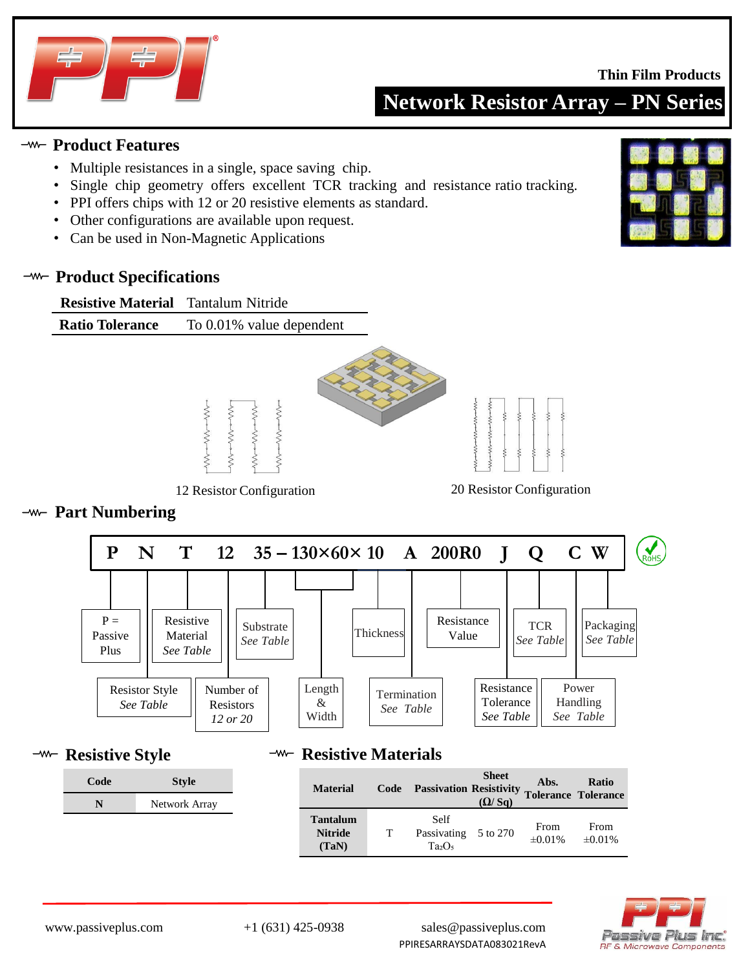

#### **Thin Film Products**

**Network Resistor Array – PN Series**

#### **Product Features**

- Multiple resistances in a single, space saving chip.
- Single chip geometry offers excellent TCR tracking and resistance ratio tracking.
- PPI offers chips with 12 or 20 resistive elements as standard.
- Other configurations are available upon request.
- Can be used in Non-Magnetic Applications

#### **-w- Product Specifications**



12 Resistor Configuration 20 Resistor Configuration

#### **Part Numbering**



**-w- Resistive Style** 

# **Code Style N** Network Array

## <sup>−*m*−</sup> Resistive Materials

| <b>Material</b>                            | Code | <b>Passivation Resistivity</b>            | <b>Sheet</b><br>(Q/Sq) | Abs.                 | Ratio<br><b>Tolerance Tolerance</b> |
|--------------------------------------------|------|-------------------------------------------|------------------------|----------------------|-------------------------------------|
| <b>Tantalum</b><br><b>Nitride</b><br>(TaN) | т    | Self<br>Passivating 5 to 270<br>$Ta_2O_5$ |                        | From<br>$\pm 0.01\%$ | From<br>$\pm 0.01\%$                |



www.passiveplus.com +1 (631) 425-0938 sales@passiveplus.com PPIRESARRAYSDATA083021RevA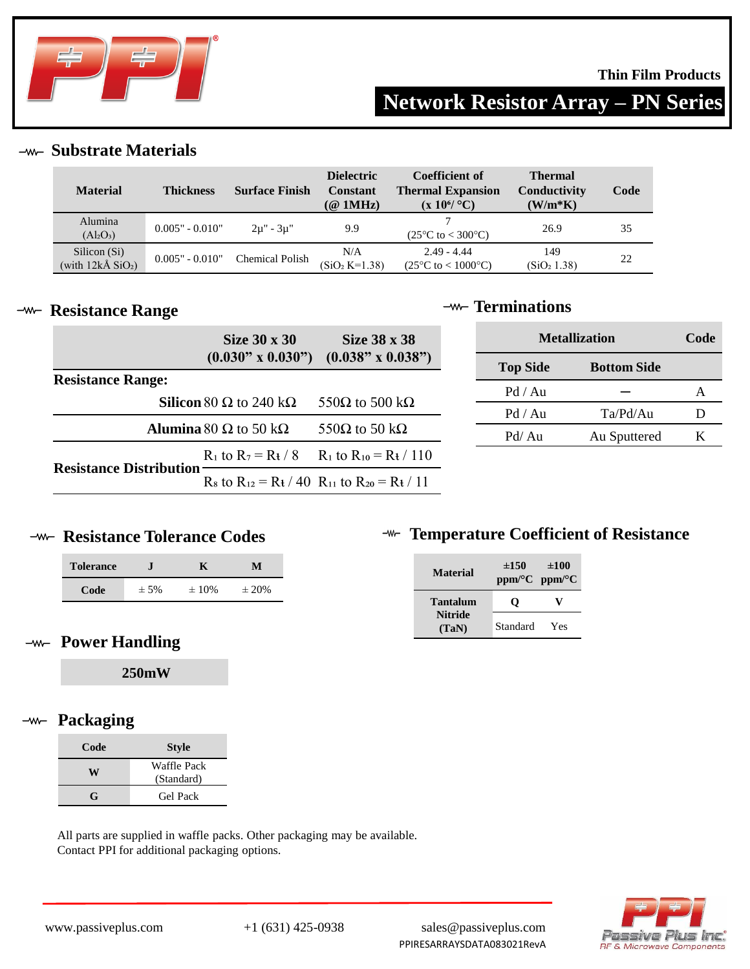

**Network Resistor Array – PN Series**

**Substrate Materials**

| <b>Material</b>                                   | <b>Thickness</b>  | <b>Surface Finish</b>  | <b>Dielectric</b><br><b>Constant</b><br>$(\textcircled{a}$ 1MHz) | Coefficient of<br><b>Thermal Expansion</b><br>$(x 10^6$ °C)  | <b>Thermal</b><br>Conductivity<br>$(W/m*K)$ | Code |
|---------------------------------------------------|-------------------|------------------------|------------------------------------------------------------------|--------------------------------------------------------------|---------------------------------------------|------|
| Alumina<br>$(Al_2O_3)$                            | $0.005" - 0.010"$ | $2\mu$ " - $3\mu$ "    | 9.9                                                              | $(25^{\circ}C \text{ to } < 300^{\circ}C)$                   | 26.9                                        | 35   |
| Silicon (Si)<br>(with $12k\AA$ SiO <sub>2</sub> ) | $0.005" - 0.010"$ | <b>Chemical Polish</b> | N/A<br>$(SiO2 K=1.38)$                                           | $2.49 - 4.44$<br>$(25^{\circ}C \text{ to } < 1000^{\circ}C)$ | 149<br>(SiO <sub>2</sub> 1.38)              | 22   |

#### **-w- Resistance Range**

## **Terminations**

|                                                      | Size 30 x 30                                 | Size 38 x 38                                               |                    | <b>Metallization</b> | Code |
|------------------------------------------------------|----------------------------------------------|------------------------------------------------------------|--------------------|----------------------|------|
| $(0.038" \times 0.038")$<br>$(0.030" \times 0.030")$ |                                              | <b>Top Side</b>                                            | <b>Bottom Side</b> |                      |      |
| <b>Resistance Range:</b>                             |                                              |                                                            | Pd / Au            |                      | A    |
|                                                      | <b>Silicon</b> 80 $\Omega$ to 240 k $\Omega$ | 550 $\Omega$ to 500 k $\Omega$                             | Pd / Au            | Ta/Pd/Au             | D    |
| <b>Alumina</b> 80 $\Omega$ to 50 k $\Omega$          |                                              | 550 $\Omega$ to 50 k $\Omega$                              | Pd/Au              | Au Sputtered         | Κ    |
|                                                      |                                              | $R_1$ to $R_7 = R_1 / 8$ $R_1$ to $R_{10} = R_1 / 110$     |                    |                      |      |
| <b>Resistance Distribution</b>                       |                                              | $R_8$ to $R_{12} = R_1 / 40 R_{11}$ to $R_{20} = R_1 / 11$ |                    |                      |      |

# **-w- Resistance Tolerance Codes**

| <b>Tolerance</b> |         |            | м          |
|------------------|---------|------------|------------|
| Code             | $± 5\%$ | $\pm 10\%$ | $\pm 20\%$ |

## **Power Handling**

**250mW**

#### **Packaging**  $-\!\!m\!-\!$

| Code | <b>Style</b>              |  |
|------|---------------------------|--|
| W    | Waffle Pack<br>(Standard) |  |
| G    | Gel Pack                  |  |

All parts are supplied in waffle packs. Other packaging may be available. Contact PPI for additional packaging options.

# **THEFT TEMPERATURE COEfficient of Resistance**

| <b>Material</b>         | $\pm 150$ | $\pm 100$<br>$ppm$ <sup>o</sup> C $ppm$ <sup>o</sup> C |
|-------------------------|-----------|--------------------------------------------------------|
| Tantalum                | 0         |                                                        |
| <b>Nitride</b><br>(TaN) | Standard  | Yes                                                    |